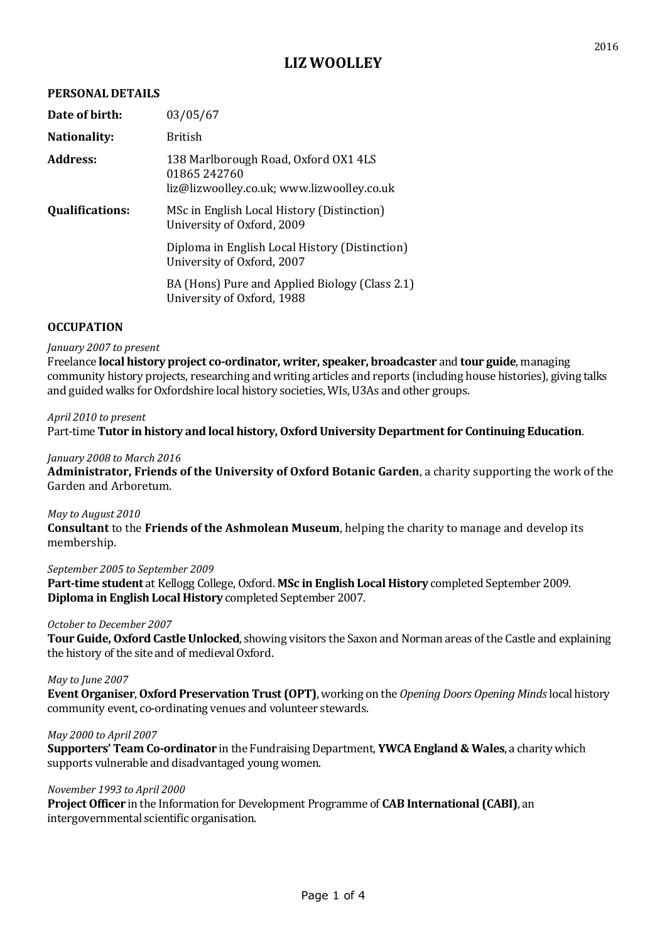# **LIZ WOOLLEY**

## **PERSONAL DETAILS**

| 03/05/67                                                                                          |
|---------------------------------------------------------------------------------------------------|
| British                                                                                           |
| 138 Marlborough Road, Oxford OX1 4LS<br>01865242760<br>liz@lizwoolley.co.uk; www.lizwoolley.co.uk |
| MSc in English Local History (Distinction)<br>University of Oxford, 2009                          |
| Diploma in English Local History (Distinction)<br>University of Oxford, 2007                      |
| BA (Hons) Pure and Applied Biology (Class 2.1)<br>University of Oxford, 1988                      |
|                                                                                                   |

## **OCCUPATION**

### *January 2007 to present*

Freelance **local history project co-ordinator, writer, speaker, broadcaster** and **tour guide**, managing community history projects, researching and writing articles and reports (including house histories), giving talks and guided walks for Oxfordshire local history societies, WIs, U3As and other groups.

### *April 2010 to present*

Part-time **Tutor in history and local history, Oxford University Department for Continuing Education**.

## *January 2008 to March 2016*

**Administrator, Friends of the University of Oxford Botanic Garden**, a charity supporting the work of the Garden and Arboretum.

### *May to August 2010*

**Consultant** to the **Friends of the Ashmolean Museum**, helping the charity to manage and develop its membership.

# *September 2005 to September 2009*

**Part-time student** at Kellogg College, Oxford. **MSc in English Local History** completed September 2009. **Diploma in English Local History** completed September 2007.

### *October to December 2007*

**Tour Guide, Oxford Castle Unlocked**, showing visitors the Saxon and Norman areas of the Castle and explaining the history of the site and of medieval Oxford.

### *May to June 2007*

**Event Organiser**, **Oxford Preservation Trust (OPT)**, working on the *Opening Doors Opening Minds*local history community event, co-ordinating venues and volunteer stewards.

### *May 2000 to April 2007*

**Supporters' Team Co-ordinator** in the Fundraising Department, **YWCA England & Wales**, a charity which supports vulnerable and disadvantaged young women.

### *November 1993 to April 2000*

**Project Officer** in the Information for Development Programme of **CAB International (CABI)**, an intergovernmental scientific organisation.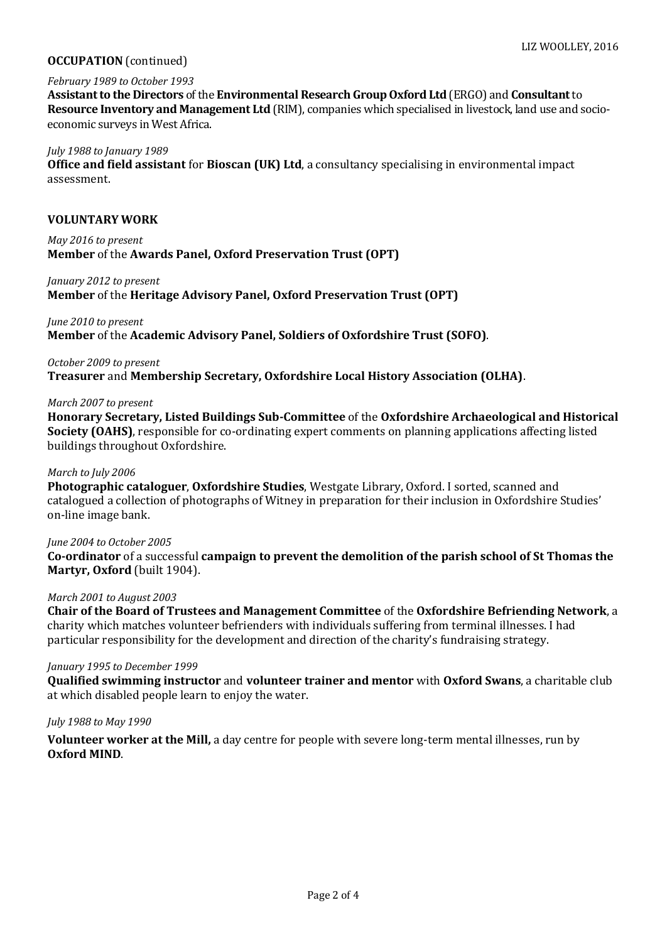## **OCCUPATION**(continued)

## *February 1989 to October 1993*

**Assistant to the Directors** of the **Environmental Research Group Oxford Ltd** (ERGO) and **Consultant**to **Resource Inventory and Management Ltd** (RIM), companies which specialised in livestock, land use and socioeconomic surveys in West Africa.

### *July 1988 to January 1989*

**Office and field assistant** for **Bioscan (UK) Ltd**, a consultancy specialising in environmental impact assessment.

## **VOLUNTARY WORK**

*May 2016 to present* **Member** of the **Awards Panel, Oxford Preservation Trust (OPT)**

### *January 2012 to present*

**Member** of the **Heritage Advisory Panel, Oxford Preservation Trust (OPT)**

## *June 2010 to present*

**Member** of the **Academic Advisory Panel, Soldiers of Oxfordshire Trust (SOFO)**.

## *October 2009 to present*

**Treasurer** and **Membership Secretary, Oxfordshire Local History Association (OLHA)**.

## *March 2007 to present*

**Honorary Secretary, Listed Buildings Sub-Committee** of the **Oxfordshire Archaeological and Historical Society (OAHS)**, responsible for co-ordinating expert comments on planning applications affecting listed buildings throughout Oxfordshire.

## *March to July 2006*

**Photographic cataloguer**, **Oxfordshire Studies**, Westgate Library, Oxford. I sorted, scanned and catalogued a collection of photographs of Witney in preparation for their inclusion in Oxfordshire Studies' on-line image bank.

### *June 2004 to October 2005*

**Co-ordinator** of a successful **campaign to prevent the demolition of the parish school of St Thomas the Martyr, Oxford** (built 1904).

### *March 2001 to August 2003*

**Chair of the Board of Trustees and Management Committee** of the **Oxfordshire Befriending Network**, a charity which matches volunteer befrienders with individuals suffering from terminal illnesses. I had particular responsibility for the development and direction of the charity's fundraising strategy.

## *January 1995 to December 1999*

**Qualified swimming instructor** and **volunteer trainer and mentor** with **Oxford Swans**, a charitable club at which disabled people learn to enjoy the water.

## *July 1988 to May 1990*

**Volunteer worker at the Mill,** a day centre for people with severe long-term mental illnesses, run by **Oxford MIND**.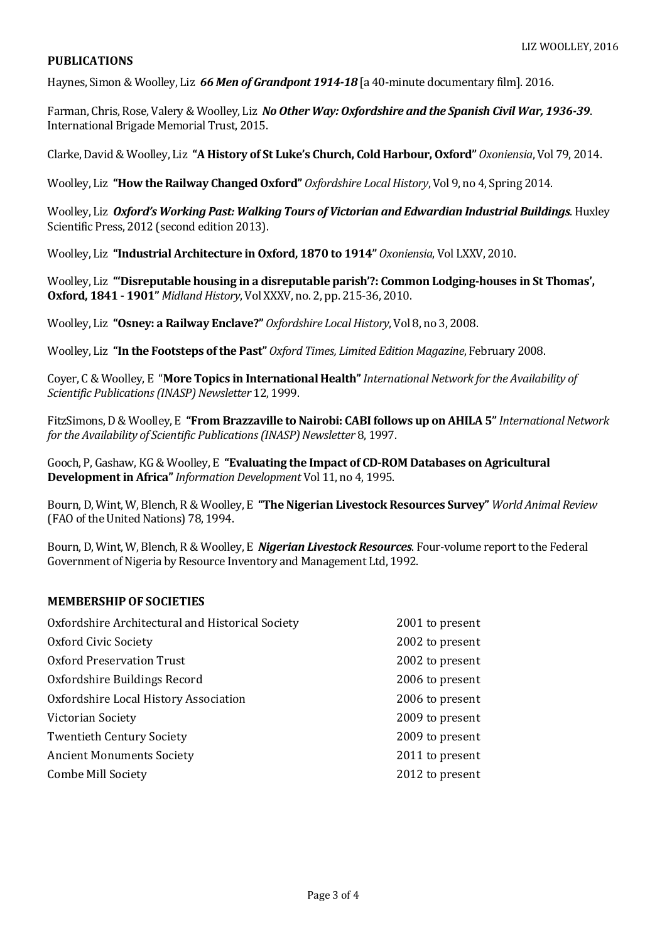## **PUBLICATIONS**

Haynes, Simon & Woolley, Liz *66 Men of Grandpont 1914-18* [a 40-minute documentary film]. 2016.

Farman, Chris, Rose, Valery & Woolley, Liz *No Other Way: Oxfordshire and the Spanish Civil War, 1936-39*. International Brigade Memorial Trust, 2015.

Clarke, David & Woolley, Liz **"A History of St Luke's Church, Cold Harbour, Oxford"** *Oxoniensia*, Vol 79, 2014.

Woolley, Liz **"How the Railway Changed Oxford"** *Oxfordshire Local History*, Vol 9, no 4, Spring 2014.

Woolley, Liz *Oxford's Working Past: Walking Tours of Victorian and Edwardian Industrial Buildings*. Huxley Scientific Press, 2012 (second edition 2013).

Woolley, Liz **"Industrial Architecture in Oxford, 1870 to 1914"** *Oxoniensia*, Vol LXXV, 2010.

Woolley, Liz **"'Disreputable housing in a disreputable parish'?: Common Lodging-houses in St Thomas', Oxford, 1841 - 1901"** *Midland History*, Vol XXXV, no. 2, pp. 215-36, 2010.

Woolley, Liz **"Osney: a Railway Enclave?"** *Oxfordshire Local History*, Vol 8, no 3, 2008.

Woolley, Liz **"In the Footsteps of the Past"** *Oxford Times, Limited Edition Magazine*, February 2008.

Coyer, C & Woolley, E "**More Topics in International Health"***International Network for the Availability of Scientific Publications (INASP) Newsletter* 12, 1999.

FitzSimons, D & Woolley, E **"From Brazzaville to Nairobi: CABI follows up on AHILA 5"***International Network for the Availability of Scientific Publications (INASP) Newsletter* 8, 1997.

Gooch, P, Gashaw, KG & Woolley, E **"Evaluating the Impact of CD-ROM Databases on Agricultural Development in Africa"***Information Development* Vol 11, no 4, 1995.

Bourn,D, Wint, W, Blench, R & Woolley, E **"The Nigerian Livestock Resources Survey"** *World Animal Review* (FAO of the United Nations) 78, 1994.

Bourn,D, Wint, W, Blench, R & Woolley, E *Nigerian Livestock Resources*. Four-volume report to the Federal Government of Nigeria by Resource Inventory and Management Ltd, 1992.

## **MEMBERSHIPOF SOCIETIES**

| Oxfordshire Architectural and Historical Society | 2001 to present |
|--------------------------------------------------|-----------------|
| Oxford Civic Society                             | 2002 to present |
| <b>Oxford Preservation Trust</b>                 | 2002 to present |
| Oxfordshire Buildings Record                     | 2006 to present |
| Oxfordshire Local History Association            | 2006 to present |
| Victorian Society                                | 2009 to present |
| <b>Twentieth Century Society</b>                 | 2009 to present |
| <b>Ancient Monuments Society</b>                 | 2011 to present |
| <b>Combe Mill Society</b>                        | 2012 to present |
|                                                  |                 |